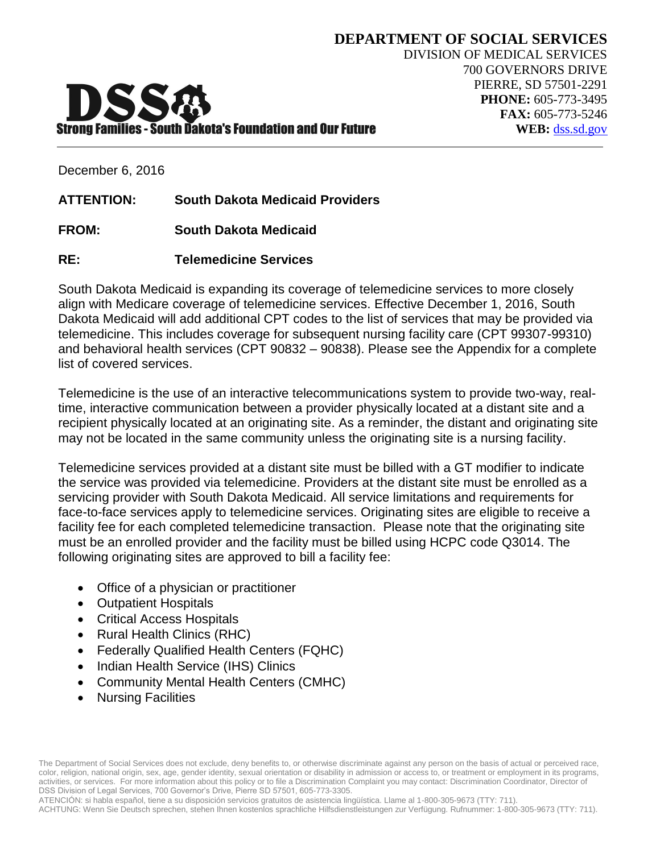

**DEPARTMENT OF SOCIAL SERVICES**

December 6, 2016

**ATTENTION: South Dakota Medicaid Providers**

- **FROM: South Dakota Medicaid**
- **RE: Telemedicine Services**

South Dakota Medicaid is expanding its coverage of telemedicine services to more closely align with Medicare coverage of telemedicine services. Effective December 1, 2016, South Dakota Medicaid will add additional CPT codes to the list of services that may be provided via telemedicine. This includes coverage for subsequent nursing facility care (CPT 99307-99310) and behavioral health services (CPT 90832 – 90838). Please see the Appendix for a complete list of covered services.

Telemedicine is the use of an interactive telecommunications system to provide two-way, realtime, interactive communication between a provider physically located at a distant site and a recipient physically located at an originating site. As a reminder, the distant and originating site may not be located in the same community unless the originating site is a nursing facility.

Telemedicine services provided at a distant site must be billed with a GT modifier to indicate the service was provided via telemedicine. Providers at the distant site must be enrolled as a servicing provider with South Dakota Medicaid. All service limitations and requirements for face-to-face services apply to telemedicine services. Originating sites are eligible to receive a facility fee for each completed telemedicine transaction. Please note that the originating site must be an enrolled provider and the facility must be billed using HCPC code Q3014. The following originating sites are approved to bill a facility fee:

- Office of a physician or practitioner
- Outpatient Hospitals
- Critical Access Hospitals
- Rural Health Clinics (RHC)
- Federally Qualified Health Centers (FQHC)
- Indian Health Service (IHS) Clinics
- Community Mental Health Centers (CMHC)
- Nursing Facilities

The Department of Social Services does not exclude, deny benefits to, or otherwise discriminate against any person on the basis of actual or perceived race, color, religion, national origin, sex, age, gender identity, sexual orientation or disability in admission or access to, or treatment or employment in its programs, activities, or services. For more information about this policy or to file a Discrimination Complaint you may contact: Discrimination Coordinator, Director of DSS Division of Legal Services, 700 Governor's Drive, Pierre SD 57501, 605-773-3305.

ATENCIÓN: si habla español, tiene a su disposición servicios gratuitos de asistencia lingüística. Llame al 1-800-305-9673 (TTY: 711). ACHTUNG: Wenn Sie Deutsch sprechen, stehen Ihnen kostenlos sprachliche Hilfsdienstleistungen zur Verfügung. Rufnummer: 1-800-305-9673 (TTY: 711).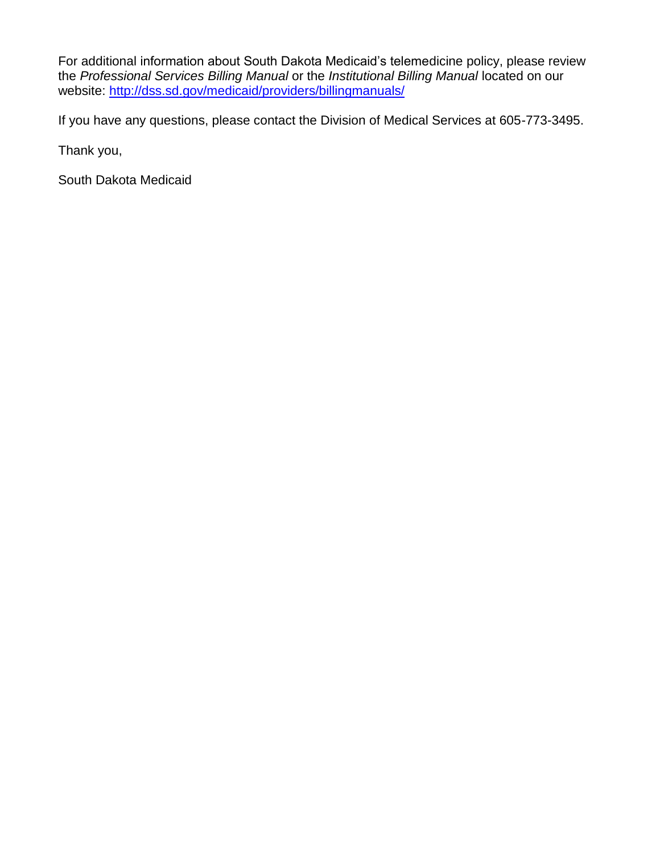For additional information about South Dakota Medicaid's telemedicine policy, please review the *Professional Services Billing Manual* or the *Institutional Billing Manual* located on our website: <http://dss.sd.gov/medicaid/providers/billingmanuals/>

If you have any questions, please contact the Division of Medical Services at 605-773-3495.

Thank you,

South Dakota Medicaid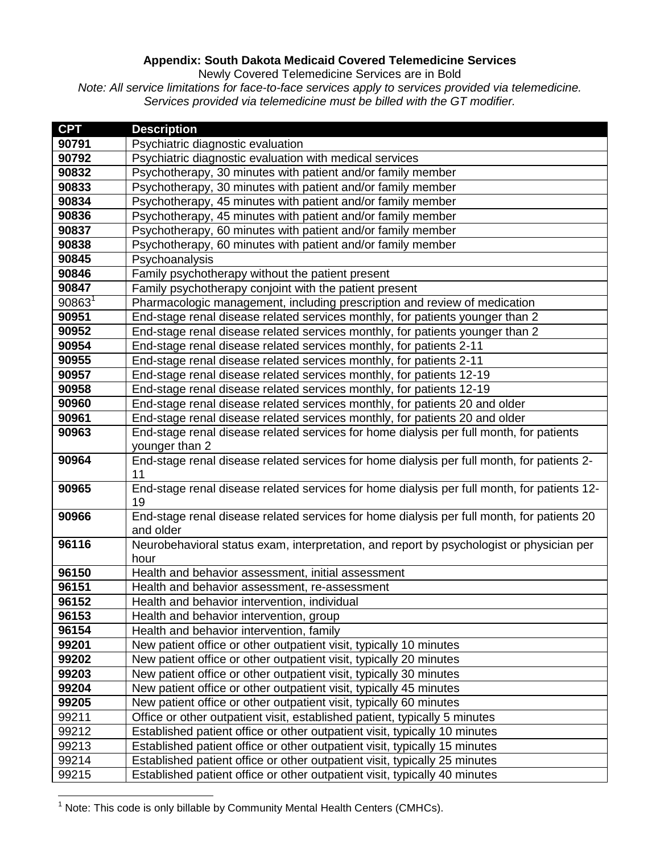## **Appendix: South Dakota Medicaid Covered Telemedicine Services**

Newly Covered Telemedicine Services are in Bold

*Note: All service limitations for face-to-face services apply to services provided via telemedicine. Services provided via telemedicine must be billed with the GT modifier.* 

| <b>CPT</b>         | <b>Description</b>                                                                                        |
|--------------------|-----------------------------------------------------------------------------------------------------------|
| 90791              | Psychiatric diagnostic evaluation                                                                         |
| 90792              | Psychiatric diagnostic evaluation with medical services                                                   |
| 90832              | Psychotherapy, 30 minutes with patient and/or family member                                               |
| 90833              | Psychotherapy, 30 minutes with patient and/or family member                                               |
| 90834              | Psychotherapy, 45 minutes with patient and/or family member                                               |
| 90836              | Psychotherapy, 45 minutes with patient and/or family member                                               |
| 90837              | Psychotherapy, 60 minutes with patient and/or family member                                               |
| 90838              | Psychotherapy, 60 minutes with patient and/or family member                                               |
| 90845              | Psychoanalysis                                                                                            |
| 90846              | Family psychotherapy without the patient present                                                          |
| 90847              | Family psychotherapy conjoint with the patient present                                                    |
| 90863 <sup>1</sup> | Pharmacologic management, including prescription and review of medication                                 |
| 90951              | End-stage renal disease related services monthly, for patients younger than 2                             |
| 90952              | End-stage renal disease related services monthly, for patients younger than 2                             |
| 90954              | End-stage renal disease related services monthly, for patients 2-11                                       |
| 90955              | End-stage renal disease related services monthly, for patients 2-11                                       |
| 90957              | End-stage renal disease related services monthly, for patients 12-19                                      |
| 90958              | End-stage renal disease related services monthly, for patients 12-19                                      |
| 90960              | End-stage renal disease related services monthly, for patients 20 and older                               |
| 90961              | End-stage renal disease related services monthly, for patients 20 and older                               |
| 90963              | End-stage renal disease related services for home dialysis per full month, for patients<br>younger than 2 |
| 90964              | End-stage renal disease related services for home dialysis per full month, for patients 2-<br>11          |
| 90965              | End-stage renal disease related services for home dialysis per full month, for patients 12-<br>19         |
| 90966              | End-stage renal disease related services for home dialysis per full month, for patients 20<br>and older   |
| 96116              | Neurobehavioral status exam, interpretation, and report by psychologist or physician per<br>hour          |
| 96150              | Health and behavior assessment, initial assessment                                                        |
| 96151              | Health and behavior assessment, re-assessment                                                             |
| 96152              | Health and behavior intervention, individual                                                              |
| 96153              | Health and behavior intervention, group                                                                   |
| 96154              | Health and behavior intervention, family                                                                  |
| 99201              | New patient office or other outpatient visit, typically 10 minutes                                        |
| 99202              | New patient office or other outpatient visit, typically 20 minutes                                        |
| 99203              | New patient office or other outpatient visit, typically 30 minutes                                        |
| 99204              | New patient office or other outpatient visit, typically 45 minutes                                        |
| 99205              | New patient office or other outpatient visit, typically 60 minutes                                        |
| 99211              | Office or other outpatient visit, established patient, typically 5 minutes                                |
| 99212              | Established patient office or other outpatient visit, typically 10 minutes                                |
| 99213              | Established patient office or other outpatient visit, typically 15 minutes                                |
| 99214              | Established patient office or other outpatient visit, typically 25 minutes                                |
| 99215              | Established patient office or other outpatient visit, typically 40 minutes                                |

 $\overline{a}$ Note: This code is only billable by Community Mental Health Centers (CMHCs).